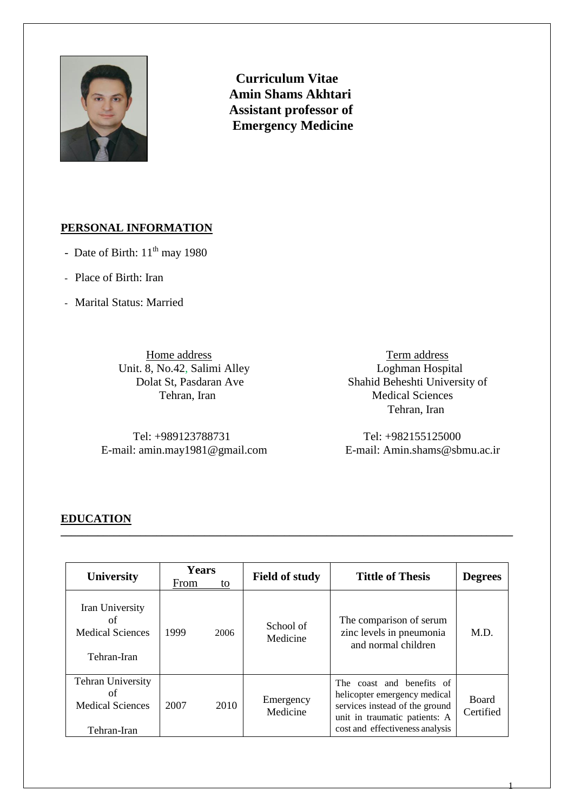

 **Curriculum Vitae Amin Shams Akhtari Assistant professor of Emergency Medicine**

#### **PERSONAL INFORMATION**

- Date of Birth: 11<sup>th</sup> may 1980
- Place of Birth: Iran
- Marital Status: Married

*Unit.* 8, No.42, Salimi Alley<br>Dolat St, Pasdaran Ave

 Tel: +989123788731 Tel: +982155125000 E-mail: amin.may1981@gmail.com E-mail: Amin.shams@sbmu.ac.ir

**11 Eventual Eventual Eventual Eventual S. No.42, Salimi Alley <b>and S. Term address**<br> **12 Eventual Eventual Eventual Eventual Eventual Eventual Eventual Eventual Eventual Eventual Eventual Eventual Eventual Eventual Eventu** Shahid Beheshti University of Tehran, Iran Medical Sciences Tehran, Iran

1

#### **EDUCATION**

| <b>University</b>                                                        | <b>Years</b> |      | <b>Field of study</b> | <b>Tittle of Thesis</b>                                                                                                                                         | <b>Degrees</b>            |  |
|--------------------------------------------------------------------------|--------------|------|-----------------------|-----------------------------------------------------------------------------------------------------------------------------------------------------------------|---------------------------|--|
|                                                                          | From         | to   |                       |                                                                                                                                                                 |                           |  |
| Iran University<br>οf<br><b>Medical Sciences</b><br>Tehran-Iran          | 1999         | 2006 | School of<br>Medicine | The comparison of serum<br>zinc levels in pneumonia<br>and normal children                                                                                      | M.D.                      |  |
| <b>Tehran University</b><br>of<br><b>Medical Sciences</b><br>Tehran-Iran | 2007         | 2010 | Emergency<br>Medicine | The coast and benefits of<br>helicopter emergency medical<br>services instead of the ground<br>unit in traumatic patients: A<br>cost and effectiveness analysis | <b>Board</b><br>Certified |  |

\_\_\_\_\_\_\_\_\_\_\_\_\_\_\_\_\_\_\_\_\_\_\_\_\_\_\_\_\_\_\_\_\_\_\_\_\_\_\_\_\_\_\_\_\_\_\_\_\_\_\_\_\_\_\_\_\_\_\_\_\_\_\_\_\_\_\_\_\_\_\_\_\_\_\_\_\_\_\_\_\_\_\_\_\_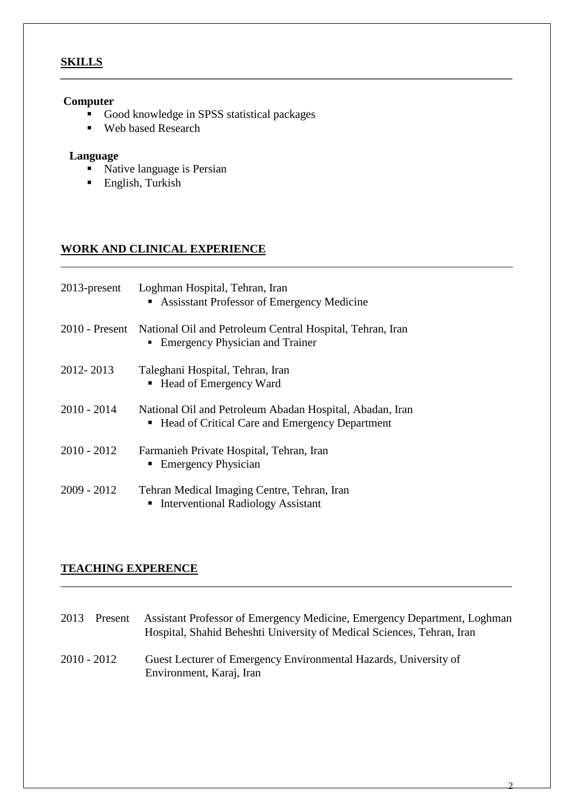# **SKILLS**

#### **Computer**

Good knowledge in SPSS statistical packages

*\_\_\_\_\_\_\_\_\_\_\_\_\_\_\_\_\_\_\_\_\_\_\_\_\_\_\_\_\_\_\_\_\_\_\_\_\_\_\_\_\_\_\_\_\_\_\_\_\_\_\_\_\_\_\_\_\_\_\_\_\_\_\_\_\_\_\_\_\_\_\_\_\_\_\_\_\_\_\_\_\_\_\_\_\_*

\_\_\_\_\_\_\_\_\_\_\_\_\_\_\_\_\_\_\_\_\_\_\_\_\_\_\_\_\_\_\_\_\_\_\_\_\_\_\_\_\_\_\_\_\_\_\_\_\_\_\_\_\_\_\_\_\_\_\_\_\_\_\_\_\_\_\_\_\_\_\_\_\_\_\_\_\_\_\_\_\_\_\_\_\_

■ Web based Research

# **Language**

- Native language is Persian
- **English, Turkish**

# **WORK AND CLINICAL EXPERIENCE**

| $2013$ -present  | Loghman Hospital, Tehran, Iran<br>Assisstant Professor of Emergency Medicine                               |
|------------------|------------------------------------------------------------------------------------------------------------|
| $2010$ - Present | National Oil and Petroleum Central Hospital, Tehran, Iran<br><b>Emergency Physician and Trainer</b><br>٠   |
| 2012-2013        | Taleghani Hospital, Tehran, Iran<br>■ Head of Emergency Ward                                               |
| $2010 - 2014$    | National Oil and Petroleum Abadan Hospital, Abadan, Iran<br>Head of Critical Care and Emergency Department |
| $2010 - 2012$    | Farmanieh Private Hospital, Tehran, Iran<br>• Emergency Physician                                          |
| $2009 - 2012$    | Tehran Medical Imaging Centre, Tehran, Iran<br><b>Interventional Radiology Assistant</b>                   |

# **TEACHING EXPERENCE**

| 2013        | Present | Assistant Professor of Emergency Medicine, Emergency Department, Loghman<br>Hospital, Shahid Beheshti University of Medical Sciences, Tehran, Iran |
|-------------|---------|----------------------------------------------------------------------------------------------------------------------------------------------------|
| 2010 - 2012 |         | Guest Lecturer of Emergency Environmental Hazards, University of<br>Environment, Karaj, Iran                                                       |

\_\_\_\_\_\_\_\_\_\_\_\_\_\_\_\_\_\_\_\_\_\_\_\_\_\_\_\_\_\_\_\_\_\_\_\_\_\_\_\_\_\_\_\_\_\_\_\_\_\_\_\_\_\_\_\_\_\_\_\_\_\_\_\_\_\_\_\_\_\_\_\_\_\_\_\_\_\_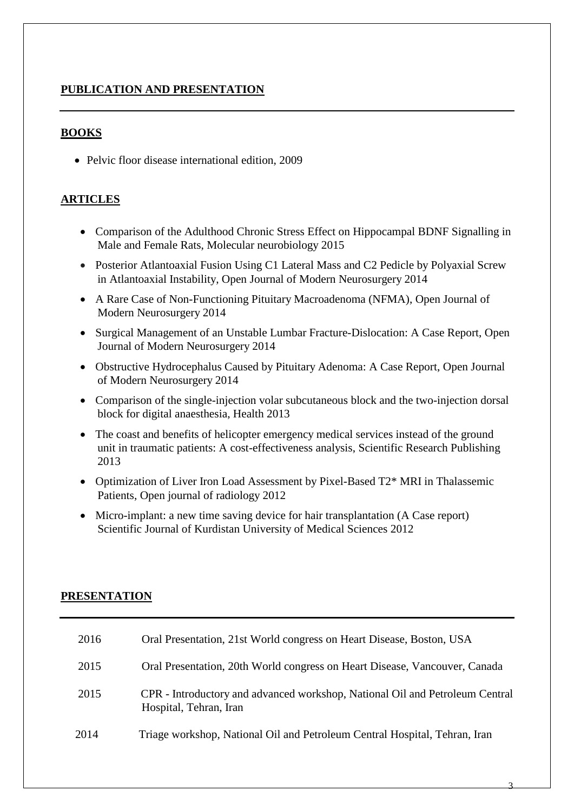### **PUBLICATION AND PRESENTATION**

#### **BOOKS**

• Pelvic floor disease international edition, 2009

### **ARTICLES**

- [Comparison of the Adulthood Chronic Stress Effect on Hippocampal BDNF Signalling](https://scholar.google.com/citations?view_op=view_citation&hl=en&user=L-BkR10AAAAJ&citation_for_view=L-BkR10AAAAJ:IjCSPb-OGe4C) in [Male and Female Rats,](https://scholar.google.com/citations?view_op=view_citation&hl=en&user=L-BkR10AAAAJ&citation_for_view=L-BkR10AAAAJ:IjCSPb-OGe4C) Molecular neurobiology 2015
- [Posterior Atlantoaxial Fusion Using C1 Lateral Mass and C2 Pedicle by Polyaxial Screw](https://scholar.google.com/citations?view_op=view_citation&hl=en&user=L-BkR10AAAAJ&citation_for_view=L-BkR10AAAAJ:2osOgNQ5qMEC)  [in Atlantoaxial Instability,](https://scholar.google.com/citations?view_op=view_citation&hl=en&user=L-BkR10AAAAJ&citation_for_view=L-BkR10AAAAJ:2osOgNQ5qMEC) Open Journal of Modern Neurosurgery 2014
- [A Rare Case of Non-Functioning Pituitary Macroadenoma \(NFMA\),](https://scholar.google.com/citations?view_op=view_citation&hl=en&user=L-BkR10AAAAJ&citation_for_view=L-BkR10AAAAJ:d1gkVwhDpl0C) Open Journal of Modern Neurosurgery 2014
- [Surgical Management of an Unstable Lumbar Fracture-Dislocation: A Case Report,](https://scholar.google.com/citations?view_op=view_citation&hl=en&user=L-BkR10AAAAJ&citation_for_view=L-BkR10AAAAJ:qjMakFHDy7sC) Open Journal of Modern Neurosurgery 2014
- [Obstructive Hydrocephalus Caused by Pituitary Adenoma: A Case Report,](https://scholar.google.com/citations?view_op=view_citation&hl=en&user=L-BkR10AAAAJ&citation_for_view=L-BkR10AAAAJ:u-x6o8ySG0sC) Open Journal of Modern Neurosurgery 2014
- [Comparison of the single-injection volar subcutaneous block and the two-injection dorsal](https://scholar.google.com/citations?view_op=view_citation&hl=en&user=L-BkR10AAAAJ&citation_for_view=L-BkR10AAAAJ:u5HHmVD_uO8C)  [block for digital anaesthesia,](https://scholar.google.com/citations?view_op=view_citation&hl=en&user=L-BkR10AAAAJ&citation_for_view=L-BkR10AAAAJ:u5HHmVD_uO8C) Health 2013
- The coast and benefits of helicopter emergency medical services instead of the ground [unit in traumatic patients: A cost-effectiveness analysis,](https://scholar.google.com/citations?view_op=view_citation&hl=en&user=L-BkR10AAAAJ&citation_for_view=L-BkR10AAAAJ:UeHWp8X0CEIC) Scientific Research Publishing 2013
- Optimization of Liver Iron Load Assessment by Pixel-Based T2\* MRI in Thalassemic [Patients,](https://scholar.google.com/citations?view_op=view_citation&hl=en&user=L-BkR10AAAAJ&citation_for_view=L-BkR10AAAAJ:zYLM7Y9cAGgC) Open journal of radiology 2012
- [Micro-implant: a new time saving device for hair transplantation \(A Case report\)](https://scholar.google.com/citations?view_op=view_citation&hl=en&user=L-BkR10AAAAJ&citation_for_view=L-BkR10AAAAJ:9yKSN-GCB0IC) Scientific Journal of Kurdistan University of Medical Sciences 2012

#### **PRESENTATION**

| 2016 | Oral Presentation, 21st World congress on Heart Disease, Boston, USA                                   |
|------|--------------------------------------------------------------------------------------------------------|
| 2015 | Oral Presentation, 20th World congress on Heart Disease, Vancouver, Canada                             |
| 2015 | CPR - Introductory and advanced workshop, National Oil and Petroleum Central<br>Hospital, Tehran, Iran |
| 2014 | Triage workshop, National Oil and Petroleum Central Hospital, Tehran, Iran                             |

3